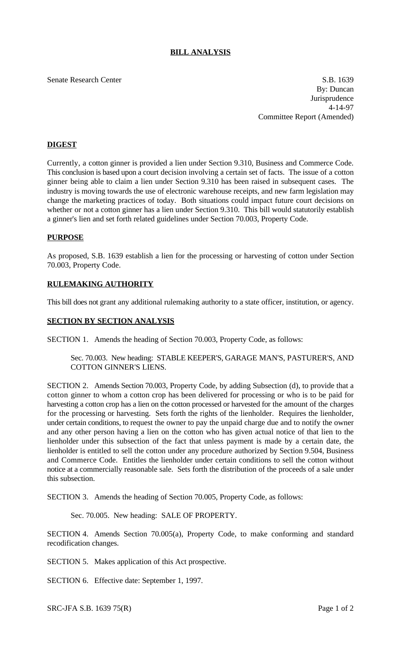# **BILL ANALYSIS**

#### Senate Research Center S.B. 1639

By: Duncan Jurisprudence 4-14-97 Committee Report (Amended)

## **DIGEST**

Currently, a cotton ginner is provided a lien under Section 9.310, Business and Commerce Code. This conclusion is based upon a court decision involving a certain set of facts. The issue of a cotton ginner being able to claim a lien under Section 9.310 has been raised in subsequent cases. The industry is moving towards the use of electronic warehouse receipts, and new farm legislation may change the marketing practices of today. Both situations could impact future court decisions on whether or not a cotton ginner has a lien under Section 9.310. This bill would statutorily establish a ginner's lien and set forth related guidelines under Section 70.003, Property Code.

#### **PURPOSE**

As proposed, S.B. 1639 establish a lien for the processing or harvesting of cotton under Section 70.003, Property Code.

### **RULEMAKING AUTHORITY**

This bill does not grant any additional rulemaking authority to a state officer, institution, or agency.

### **SECTION BY SECTION ANALYSIS**

SECTION 1. Amends the heading of Section 70.003, Property Code, as follows:

Sec. 70.003. New heading: STABLE KEEPER'S, GARAGE MAN'S, PASTURER'S, AND COTTON GINNER'S LIENS.

SECTION 2. Amends Section 70.003, Property Code, by adding Subsection (d), to provide that a cotton ginner to whom a cotton crop has been delivered for processing or who is to be paid for harvesting a cotton crop has a lien on the cotton processed or harvested for the amount of the charges for the processing or harvesting. Sets forth the rights of the lienholder. Requires the lienholder, under certain conditions, to request the owner to pay the unpaid charge due and to notify the owner and any other person having a lien on the cotton who has given actual notice of that lien to the lienholder under this subsection of the fact that unless payment is made by a certain date, the lienholder is entitled to sell the cotton under any procedure authorized by Section 9.504, Business and Commerce Code. Entitles the lienholder under certain conditions to sell the cotton without notice at a commercially reasonable sale. Sets forth the distribution of the proceeds of a sale under this subsection.

SECTION 3. Amends the heading of Section 70.005, Property Code, as follows:

Sec. 70.005. New heading: SALE OF PROPERTY.

SECTION 4. Amends Section 70.005(a), Property Code, to make conforming and standard recodification changes.

SECTION 5. Makes application of this Act prospective.

SECTION 6. Effective date: September 1, 1997.

SRC-JFA S.B.  $1639\,75(R)$  Page 1 of 2